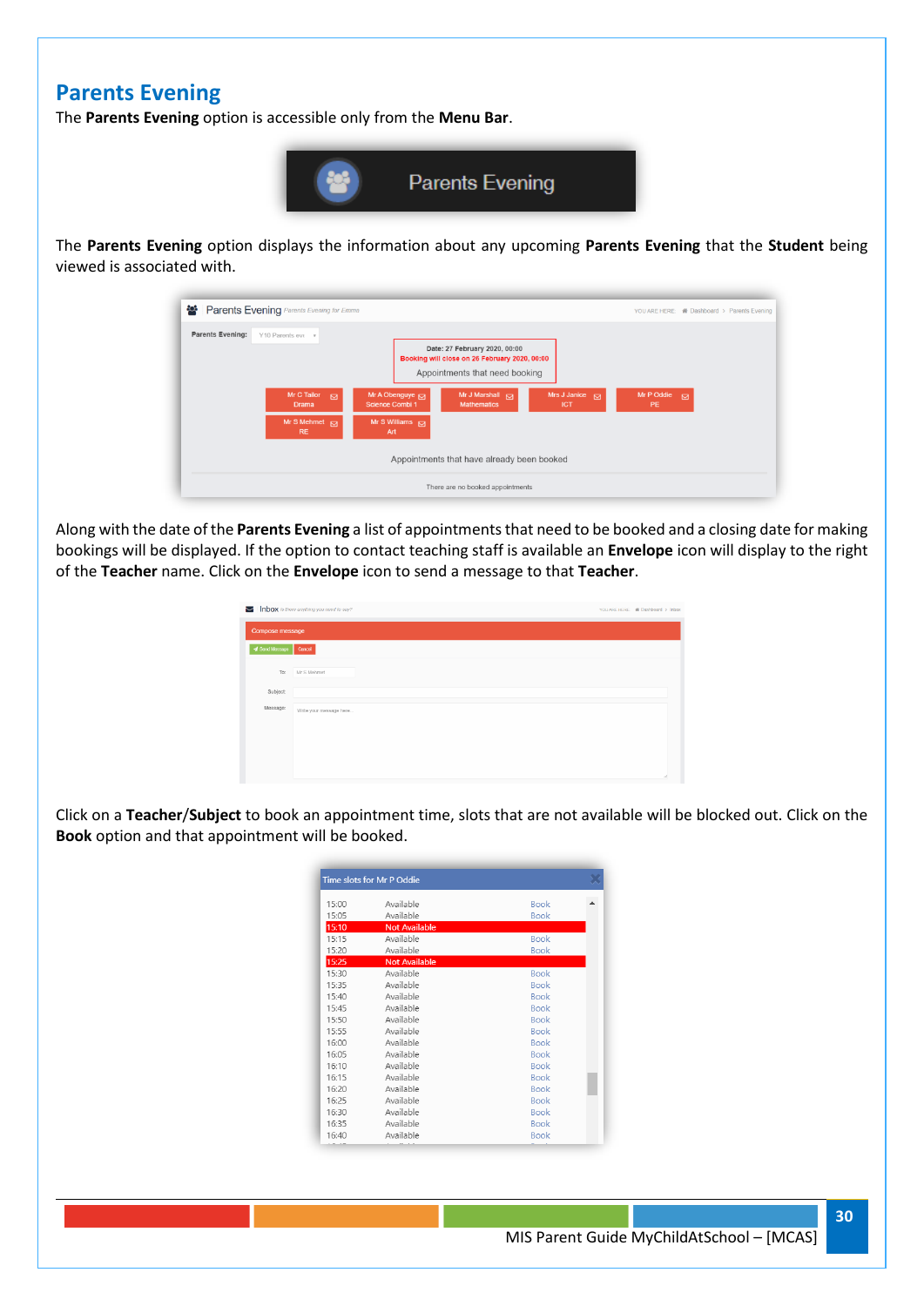## **Parents Evening**

The **Parents Evening** option is accessible only from the **Menu Bar**.



The **Parents Evening** option displays the information about any upcoming **Parents Evening** that the **Student** being viewed is associated with.

| Parents Evening Parents Evening for Emma             |                                                                                                                  | YOU ARE HERE: 骨 Dashboard > Parents Evening |
|------------------------------------------------------|------------------------------------------------------------------------------------------------------------------|---------------------------------------------|
| <b>Parents Evening:</b><br>Y10 Parents eve v         | Date: 27 February 2020, 00:00<br>Booking will close on 26 February 2020, 00:00<br>Appointments that need booking |                                             |
| <b>Mr C Tailor</b><br>$\overline{M}$<br><b>Drama</b> | Mrs J Janice M<br>Mr A Obenguye R<br>Mr J Marshall $\Box$<br>Science Combi 1<br><b>Mathematics</b><br><b>ICT</b> | Mr P Oddie $\Box$<br><b>PE</b>              |
| Mr S Mehmet $\Box$<br><b>RE</b>                      | Mr S Williams $\overline{M}$<br>Art                                                                              |                                             |
|                                                      | Appointments that have already been booked                                                                       |                                             |
|                                                      | There are no booked appointments                                                                                 |                                             |

Along with the date of the **Parents Evening** a list of appointments that need to be booked and a closing date for making bookings will be displayed. If the option to contact teaching staff is available an **Envelope** icon will display to the right of the **Teacher** name. Click on the **Envelope** icon to send a message to that **Teacher**.

|                 | Inbox is there anything you need to say? | YOU ARE HERE: # Dashboard > Inbox |  |
|-----------------|------------------------------------------|-----------------------------------|--|
| Compose message |                                          |                                   |  |
| Send Message    | Cancel                                   |                                   |  |
| To:             | Mr S Mehmet                              |                                   |  |
| Subject:        |                                          |                                   |  |
| Message:        | Write your message here                  |                                   |  |
|                 |                                          |                                   |  |
|                 |                                          |                                   |  |
|                 |                                          |                                   |  |

Click on a **Teacher**/**Subject** to book an appointment time, slots that are not available will be blocked out. Click on the **Book** option and that appointment will be booked.

|       | Time slots for Mr P Oddie |             |  |
|-------|---------------------------|-------------|--|
| 15:00 | Available                 | <b>Book</b> |  |
| 15:05 | Available                 | <b>Book</b> |  |
| 15:10 | <b>Not Available</b>      |             |  |
| 15:15 | Available                 | <b>Book</b> |  |
| 15:20 | Available                 | <b>Book</b> |  |
| 15:25 | <b>Not Available</b>      |             |  |
| 15:30 | Available                 | <b>Book</b> |  |
| 15:35 | Available                 | <b>Book</b> |  |
| 15:40 | Available                 | <b>Book</b> |  |
| 15:45 | Available                 | <b>Book</b> |  |
| 15:50 | Available                 | <b>Book</b> |  |
| 15:55 | Available                 | <b>Book</b> |  |
| 16:00 | Available                 | <b>Book</b> |  |
| 16:05 | Available                 | <b>Book</b> |  |
| 16:10 | Available                 | <b>Book</b> |  |
| 16:15 | Available                 | <b>Book</b> |  |
| 16:20 | Available                 | <b>Book</b> |  |
| 16:25 | Available                 | <b>Book</b> |  |
| 16:30 | Available                 | <b>Book</b> |  |
| 16:35 | Available                 | <b>Book</b> |  |
| 16:40 | Available                 | <b>Book</b> |  |